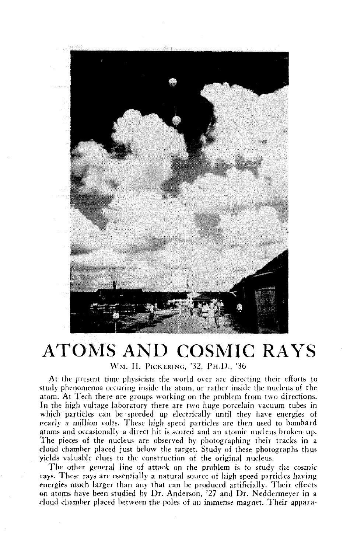

## ATOMS AND COSMIC RAYS

WM. H. PICKERING, '32, PH.D., '36

At the present time physicists the world over are directing their efforts to study phenomenoa occuring inside the atom, or rather inside the nucleus of the atom. At Tech there are groups working on the problem from two directions. In the high voltage laboratory there are two huge porcelain vacuum tubes in which particles can be speeded up electrically until they have energies of nearly a million volts. These high speed particles are then used to bombard atoms and occasionally a direct hit is scored and an atomic nucleus broken up. The pieces of the nucleus are observed by photographing their tracks in a cloud chamber placed just below the target. Study of these photographs thus yields valuable clues to the construction of the original nucleus.

The other general line of attack on the problem is to study the cosmic rays. These rays are essentially a natural source of high speed particles haking energies much larger than any that can be produced artificially. Their effects on atoms haye been studied by Dr. Anderson, '27 and Dr. Neddermeyer in a cloud chamber placed between the poles of an iminerise magnet. Their appara